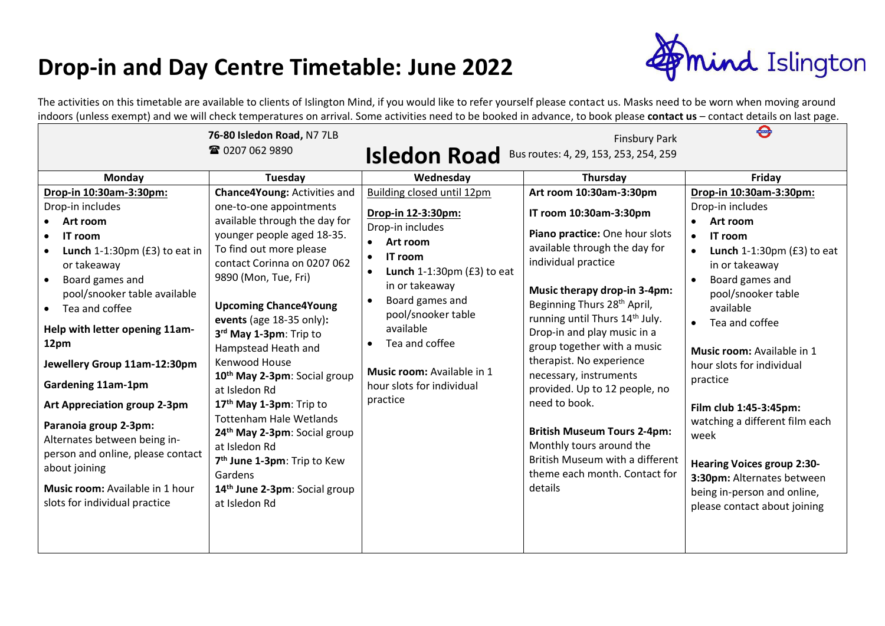## **Drop-in and Day Centre Timetable: June 2022**



The activities on this timetable are available to clients of Islington Mind, if you would like to refer yourself please contact us. Masks need to be worn when moving around indoors (unless exempt) and we will check temperatures on arrival. Some activities need to be booked in advance, to book please **contact us** – contact details on last page.

|                                                                                                                                                                                                                                                                                                                                                                                                                                                                                                                                    | 76-80 Isledon Road, N7 7LB                                                                                                                                                                                                                                                                                                                                                                                                                                                                                                                                                                                                                                    |                                                                                                                                                                                                                                                                                                                               | <b>Finsbury Park</b>                                                                                                                                                                                                                                                                                                                                                                                                                                                                                                                                                                        | $\bullet$                                                                                                                                                                                                                                                                                                                                                                                                                                                                                     |  |  |  |  |  |
|------------------------------------------------------------------------------------------------------------------------------------------------------------------------------------------------------------------------------------------------------------------------------------------------------------------------------------------------------------------------------------------------------------------------------------------------------------------------------------------------------------------------------------|---------------------------------------------------------------------------------------------------------------------------------------------------------------------------------------------------------------------------------------------------------------------------------------------------------------------------------------------------------------------------------------------------------------------------------------------------------------------------------------------------------------------------------------------------------------------------------------------------------------------------------------------------------------|-------------------------------------------------------------------------------------------------------------------------------------------------------------------------------------------------------------------------------------------------------------------------------------------------------------------------------|---------------------------------------------------------------------------------------------------------------------------------------------------------------------------------------------------------------------------------------------------------------------------------------------------------------------------------------------------------------------------------------------------------------------------------------------------------------------------------------------------------------------------------------------------------------------------------------------|-----------------------------------------------------------------------------------------------------------------------------------------------------------------------------------------------------------------------------------------------------------------------------------------------------------------------------------------------------------------------------------------------------------------------------------------------------------------------------------------------|--|--|--|--|--|
| ☎ 0207 062 9890<br>Isledon Road<br>Bus routes: 4, 29, 153, 253, 254, 259                                                                                                                                                                                                                                                                                                                                                                                                                                                           |                                                                                                                                                                                                                                                                                                                                                                                                                                                                                                                                                                                                                                                               |                                                                                                                                                                                                                                                                                                                               |                                                                                                                                                                                                                                                                                                                                                                                                                                                                                                                                                                                             |                                                                                                                                                                                                                                                                                                                                                                                                                                                                                               |  |  |  |  |  |
| Monday                                                                                                                                                                                                                                                                                                                                                                                                                                                                                                                             | Tuesday                                                                                                                                                                                                                                                                                                                                                                                                                                                                                                                                                                                                                                                       | Wednesday                                                                                                                                                                                                                                                                                                                     | Thursday                                                                                                                                                                                                                                                                                                                                                                                                                                                                                                                                                                                    | Friday                                                                                                                                                                                                                                                                                                                                                                                                                                                                                        |  |  |  |  |  |
| Drop-in 10:30am-3:30pm:<br>Drop-in includes<br>Art room<br>IT room<br>Lunch $1-1:30$ pm (£3) to eat in<br>or takeaway<br>Board games and<br>pool/snooker table available<br>Tea and coffee<br>Help with letter opening 11am-<br>12pm<br>Jewellery Group 11am-12:30pm<br><b>Gardening 11am-1pm</b><br><b>Art Appreciation group 2-3pm</b><br>Paranoia group 2-3pm:<br>Alternates between being in-<br>person and online, please contact<br>about joining<br><b>Music room:</b> Available in 1 hour<br>slots for individual practice | Chance4Young: Activities and<br>one-to-one appointments<br>available through the day for<br>younger people aged 18-35.<br>To find out more please<br>contact Corinna on 0207 062<br>9890 (Mon, Tue, Fri)<br><b>Upcoming Chance4Young</b><br>events (age 18-35 only):<br>3rd May 1-3pm: Trip to<br>Hampstead Heath and<br>Kenwood House<br>10 <sup>th</sup> May 2-3pm: Social group<br>at Isledon Rd<br>17 <sup>th</sup> May 1-3pm: Trip to<br><b>Tottenham Hale Wetlands</b><br>24 <sup>th</sup> May 2-3pm: Social group<br>at Isledon Rd<br>7 <sup>th</sup> June 1-3pm: Trip to Kew<br>Gardens<br>14 <sup>th</sup> June 2-3pm: Social group<br>at Isledon Rd | Building closed until 12pm<br>Drop-in 12-3:30pm:<br>Drop-in includes<br>Art room<br>IT room<br><b>Lunch</b> 1-1:30pm $(f3)$ to eat<br>in or takeaway<br>Board games and<br>$\bullet$<br>pool/snooker table<br>available<br>Tea and coffee<br>$\bullet$<br>Music room: Available in 1<br>hour slots for individual<br>practice | Art room 10:30am-3:30pm<br>IT room 10:30am-3:30pm<br>Piano practice: One hour slots<br>available through the day for<br>individual practice<br>Music therapy drop-in 3-4pm:<br>Beginning Thurs 28 <sup>th</sup> April,<br>running until Thurs 14 <sup>th</sup> July.<br>Drop-in and play music in a<br>group together with a music<br>therapist. No experience<br>necessary, instruments<br>provided. Up to 12 people, no<br>need to book.<br><b>British Museum Tours 2-4pm:</b><br>Monthly tours around the<br>British Museum with a different<br>theme each month. Contact for<br>details | Drop-in 10:30am-3:30pm:<br>Drop-in includes<br>Art room<br>IT room<br>$\bullet$<br><b>Lunch</b> 1-1:30pm $(f3)$ to eat<br>in or takeaway<br>Board games and<br>pool/snooker table<br>available<br>Tea and coffee<br>Music room: Available in 1<br>hour slots for individual<br>practice<br>Film club 1:45-3:45pm:<br>watching a different film each<br>week<br><b>Hearing Voices group 2:30-</b><br>3:30pm: Alternates between<br>being in-person and online,<br>please contact about joining |  |  |  |  |  |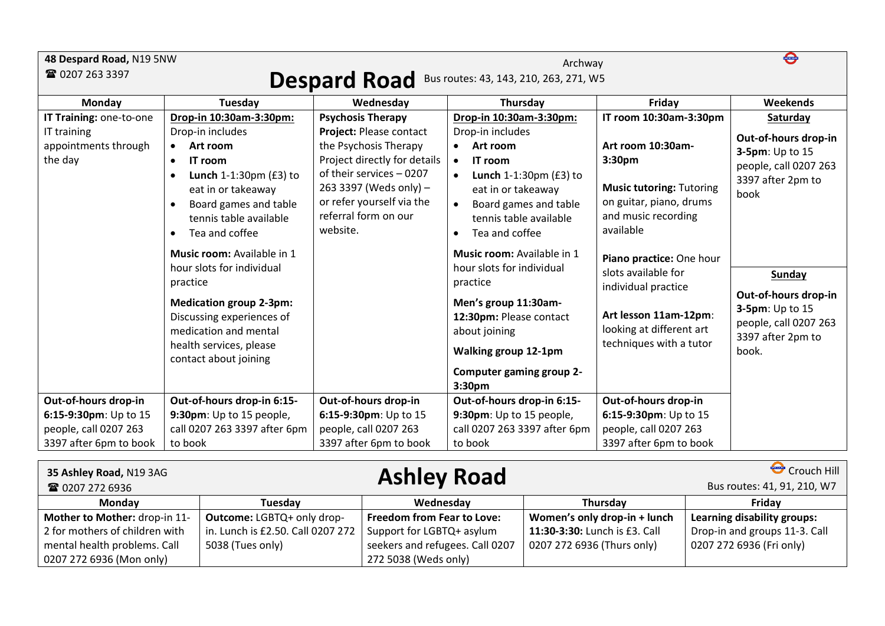| 48 Despard Road, N19 5NW                                                         |                                                                                                                                                                                                                 |                                                                                                                                                                                                                | Archway                                                                                                                                                                                                               |                                                                                                                                                        | $\blacklozenge$                                                                                                 |  |  |  |
|----------------------------------------------------------------------------------|-----------------------------------------------------------------------------------------------------------------------------------------------------------------------------------------------------------------|----------------------------------------------------------------------------------------------------------------------------------------------------------------------------------------------------------------|-----------------------------------------------------------------------------------------------------------------------------------------------------------------------------------------------------------------------|--------------------------------------------------------------------------------------------------------------------------------------------------------|-----------------------------------------------------------------------------------------------------------------|--|--|--|
| ☎ 0207 263 3397<br><b>Despard Road</b><br>Bus routes: 43, 143, 210, 263, 271, W5 |                                                                                                                                                                                                                 |                                                                                                                                                                                                                |                                                                                                                                                                                                                       |                                                                                                                                                        |                                                                                                                 |  |  |  |
| Monday                                                                           | Tuesday                                                                                                                                                                                                         | Wednesday                                                                                                                                                                                                      | Thursday                                                                                                                                                                                                              | Friday                                                                                                                                                 | <b>Weekends</b>                                                                                                 |  |  |  |
| IT Training: one-to-one                                                          | Drop-in 10:30am-3:30pm:                                                                                                                                                                                         | <b>Psychosis Therapy</b>                                                                                                                                                                                       | Drop-in 10:30am-3:30pm:                                                                                                                                                                                               | IT room 10:30am-3:30pm                                                                                                                                 | Saturday                                                                                                        |  |  |  |
| IT training<br>appointments through<br>the day                                   | Drop-in includes<br>Art room<br>IT room<br>$\bullet$<br>Lunch $1-1:30$ pm $(f3)$ to<br>$\bullet$<br>eat in or takeaway<br>Board games and table<br>tennis table available<br>Tea and coffee<br>$\bullet$        | <b>Project: Please contact</b><br>the Psychosis Therapy<br>Project directly for details<br>of their services - 0207<br>263 3397 (Weds only) -<br>or refer yourself via the<br>referral form on our<br>website. | Drop-in includes<br>Art room<br>IT room<br>$\bullet$<br>Lunch $1-1:30$ pm $(f3)$ to<br>$\bullet$<br>eat in or takeaway<br>Board games and table<br>$\bullet$<br>tennis table available<br>Tea and coffee<br>$\bullet$ | Art room 10:30am-<br>3:30pm<br><b>Music tutoring: Tutoring</b><br>on guitar, piano, drums<br>and music recording<br>available                          | Out-of-hours drop-in<br>3-5pm: Up to 15<br>people, call 0207 263<br>3397 after 2pm to<br>book                   |  |  |  |
|                                                                                  | Music room: Available in 1<br>hour slots for individual<br>practice<br><b>Medication group 2-3pm:</b><br>Discussing experiences of<br>medication and mental<br>health services, please<br>contact about joining |                                                                                                                                                                                                                | Music room: Available in 1<br>hour slots for individual<br>practice<br>Men's group 11:30am-<br>12:30pm: Please contact<br>about joining<br><b>Walking group 12-1pm</b><br>Computer gaming group 2-<br>3:30pm          | Piano practice: One hour<br>slots available for<br>individual practice<br>Art lesson 11am-12pm:<br>looking at different art<br>techniques with a tutor | <b>Sunday</b><br>Out-of-hours drop-in<br>3-5pm: Up to 15<br>people, call 0207 263<br>3397 after 2pm to<br>book. |  |  |  |
| Out-of-hours drop-in                                                             | Out-of-hours drop-in 6:15-                                                                                                                                                                                      | Out-of-hours drop-in                                                                                                                                                                                           | Out-of-hours drop-in 6:15-                                                                                                                                                                                            | Out-of-hours drop-in                                                                                                                                   |                                                                                                                 |  |  |  |
| 6:15-9:30pm: Up to 15                                                            | 9:30pm: Up to 15 people,                                                                                                                                                                                        | 6:15-9:30pm: Up to 15                                                                                                                                                                                          | 9:30pm: Up to 15 people,                                                                                                                                                                                              | 6:15-9:30pm: Up to 15                                                                                                                                  |                                                                                                                 |  |  |  |
| people, call 0207 263<br>3397 after 6pm to book                                  | call 0207 263 3397 after 6pm<br>to book                                                                                                                                                                         | people, call 0207 263<br>3397 after 6pm to book                                                                                                                                                                | call 0207 263 3397 after 6pm<br>to book                                                                                                                                                                               | people, call 0207 263<br>3397 after 6pm to book                                                                                                        |                                                                                                                 |  |  |  |

**35 Ashley Road,** N19 3AG

## **Ashley Road**

Crouch Hill